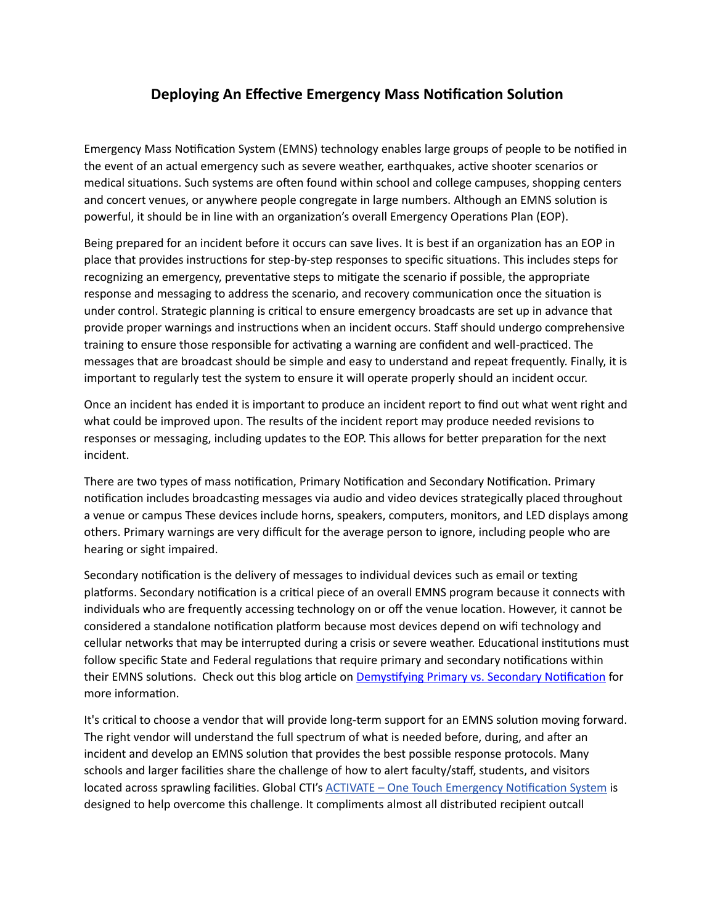## **Deploying An Effective Emergency Mass Notification Solution**

Emergency Mass Notification System (EMNS) technology enables large groups of people to be notified in the event of an actual emergency such as severe weather, earthquakes, active shooter scenarios or medical situations. Such systems are often found within school and college campuses, shopping centers and concert venues, or anywhere people congregate in large numbers. Although an EMNS solution is powerful, it should be in line with an organization's overall Emergency Operations Plan (EOP).

Being prepared for an incident before it occurs can save lives. It is best if an organization has an EOP in place that provides instructions for step-by-step responses to specific situations. This includes steps for recognizing an emergency, preventative steps to mitigate the scenario if possible, the appropriate response and messaging to address the scenario, and recovery communication once the situation is under control. Strategic planning is critical to ensure emergency broadcasts are set up in advance that provide proper warnings and instructions when an incident occurs. Staff should undergo comprehensive training to ensure those responsible for activating a warning are confident and well-practiced. The messages that are broadcast should be simple and easy to understand and repeat frequently. Finally, it is important to regularly test the system to ensure it will operate properly should an incident occur.

Once an incident has ended it is important to produce an incident report to find out what went right and what could be improved upon. The results of the incident report may produce needed revisions to responses or messaging, including updates to the EOP. This allows for better preparation for the next incident.

There are two types of mass notification, Primary Notification and Secondary Notification. Primary notification includes broadcasting messages via audio and video devices strategically placed throughout a venue or campus These devices include horns, speakers, computers, monitors, and LED displays among others. Primary warnings are very difficult for the average person to ignore, including people who are hearing or sight impaired.

Secondary notification is the delivery of messages to individual devices such as email or texting platforms. Secondary notification is a critical piece of an overall EMNS program because it connects with individuals who are frequently accessing technology on or off the venue location. However, it cannot be considered a standalone notification platform because most devices depend on wifi technology and cellular networks that may be interrupted during a crisis or severe weather. Educational institutions must follow specific State and Federal regulations that require primary and secondary notifications within their EMNS solutions. Check out this blog article on [Demystifying Primary vs. Secondary Notification](https://gcti.com/demystifying-primary-vs-secondary-notification/) for more information.

It's critical to choose a vendor that will provide long-term support for an EMNS solution moving forward. The right vendor will understand the full spectrum of what is needed before, during, and after an incident and develop an EMNS solution that provides the best possible response protocols. Many schools and larger facilities share the challenge of how to alert faculty/staff, students, and visitors located across sprawling facilities. Global CTI's ACTIVATE - [One Touch Emergency Notification System](http://gcti.com/solutions/activate-one-touch-emergency-notification-system/) is designed to help overcome this challenge. It compliments almost all distributed recipient outcall